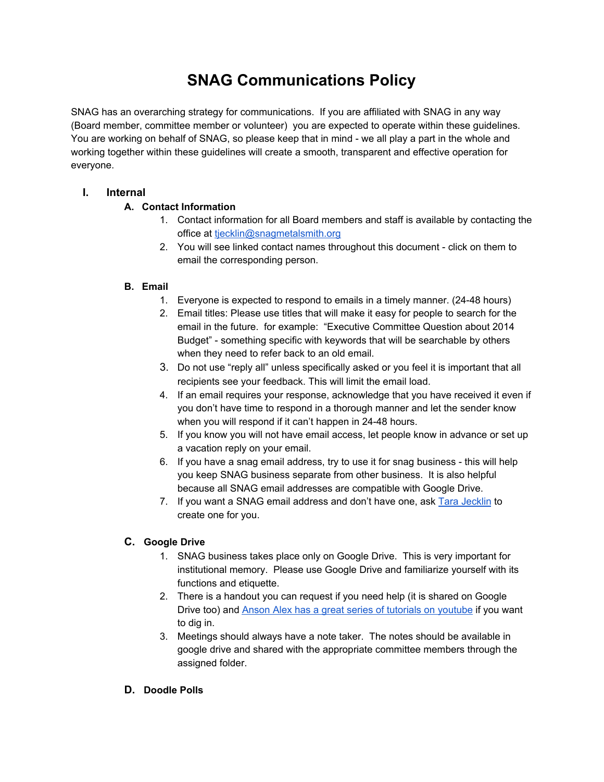# **SNAG Communications Policy**

SNAG has an overarching strategy for communications. If you are affiliated with SNAG in any way (Board member, committee member or volunteer) you are expected to operate within these guidelines. You are working on behalf of SNAG, so please keep that in mind - we all play a part in the whole and working together within these guidelines will create a smooth, transparent and effective operation for everyone.

# **I. Internal**

# **A. Contact Information**

- 1. Contact information for all Board members and staff is available by contacting the office at tiecklin@snagmetalsmith.org
- 2. You will see linked contact names throughout this document click on them to email the corresponding person.

## **B. Email**

- 1. Everyone is expected to respond to emails in a timely manner. (24-48 hours)
- 2. Email titles: Please use titles that will make it easy for people to search for the email in the future. for example: "Executive Committee Question about 2014 Budget" - something specific with keywords that will be searchable by others when they need to refer back to an old email.
- 3. Do not use "reply all" unless specifically asked or you feel it is important that all recipients see your feedback. This will limit the email load.
- 4. If an email requires your response, acknowledge that you have received it even if you don't have time to respond in a thorough manner and let the sender know when you will respond if it can't happen in 24-48 hours.
- 5. If you know you will not have email access, let people know in advance or set up a vacation reply on your email.
- 6. If you have a snag email address, try to use it for snag business this will help you keep SNAG business separate from other business. It is also helpful because all SNAG email addresses are compatible with Google Drive.
- 7. If you want a SNAG email address and don't have one, ask Tara [Jecklin](mailto:tjecklin@snagmetalsmith.org) to create one for you.

# **C. Google Drive**

- 1. SNAG business takes place only on Google Drive. This is very important for institutional memory. Please use Google Drive and familiarize yourself with its functions and etiquette.
- 2. There is a handout you can request if you need help (it is shared on Google Drive too) and Anson Alex has a great series of tutorials on [youtube](https://www.youtube.com/playlist?list=PLs7zxED4oCeqdmvHzKPa0YN-KOmsf_u8I) if you want to dig in.
- 3. Meetings should always have a note taker. The notes should be available in google drive and shared with the appropriate committee members through the assigned folder.

## **D. Doodle Polls**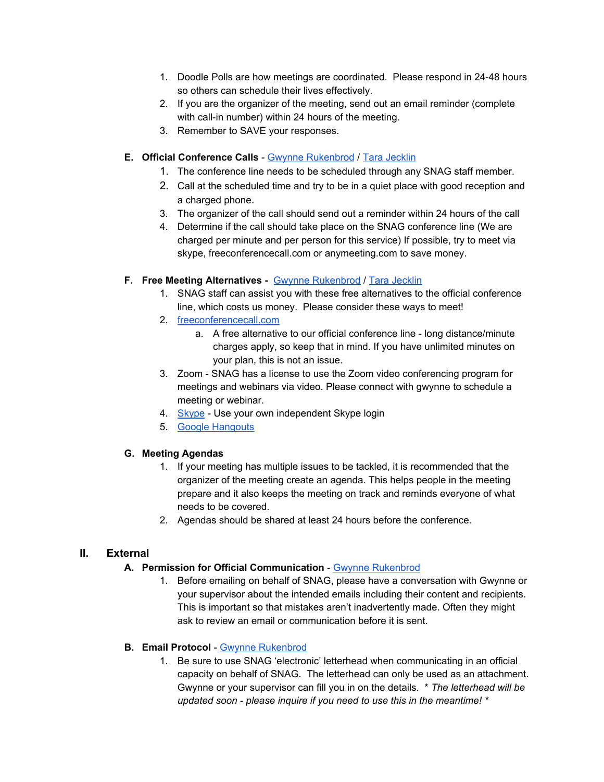- 1. Doodle Polls are how meetings are coordinated. Please respond in 24-48 hours so others can schedule their lives effectively.
- 2. If you are the organizer of the meeting, send out an email reminder (complete with call-in number) within 24 hours of the meeting.
- 3. Remember to SAVE your responses.

#### **E. Official Conference Calls** - Gwynne [Rukenbrod](mailto:grsmith@snagmetalsmith.org) / Tara [Jecklin](mailto:tjecklin@snagmetalsmith.org)

- 1. The conference line needs to be scheduled through any SNAG staff member.
- 2. Call at the scheduled time and try to be in a quiet place with good reception and a charged phone.
- 3. The organizer of the call should send out a reminder within 24 hours of the call
- 4. Determine if the call should take place on the SNAG conference line (We are charged per minute and per person for this service) If possible, try to meet via skype, freeconferencecall.com or anymeeting.com to save money.

#### **F. Free Meeting Alternatives -** Gwynne [Rukenbrod](mailto:grsmith@snagmetalsmith.org) / Tara [Jecklin](mailto:tjecklin@snagmetalsmith.org)

- 1. SNAG staff can assist you with these free alternatives to the official conference line, which costs us money. Please consider these ways to meet!
- 2. [freeconferencecall.com](https://www.freeconferencecall.com/)
	- a. A free alternative to our official conference line long distance/minute charges apply, so keep that in mind. If you have unlimited minutes on your plan, this is not an issue.
- 3. Zoom SNAG has a license to use the Zoom video conferencing program for meetings and webinars via video. Please connect with gwynne to schedule a meeting or webinar.
- 4. [Skype](http://www.skype.com/) Use your own independent Skype login
- 5. Google [Hangouts](http://www.google.com/+/learnmore/hangouts/)

#### **G. Meeting Agendas**

- 1. If your meeting has multiple issues to be tackled, it is recommended that the organizer of the meeting create an agenda. This helps people in the meeting prepare and it also keeps the meeting on track and reminds everyone of what needs to be covered.
- 2. Agendas should be shared at least 24 hours before the conference.

## **II. External**

#### **A. Permission for Official Communication** - Gwynne [Rukenbrod](mailto:grsmith@snagmetalsmith.org)

1. Before emailing on behalf of SNAG, please have a conversation with Gwynne or your supervisor about the intended emails including their content and recipients. This is important so that mistakes aren't inadvertently made. Often they might ask to review an email or communication before it is sent.

#### **B. Email Protocol** - Gwynne [Rukenbrod](mailto:grsmith@snagmetalsmith.org)

1. Be sure to use SNAG 'electronic' letterhead when communicating in an official capacity on behalf of SNAG. The letterhead can only be used as an attachment. Gwynne or your supervisor can fill you in on the details. \* *The letterhead will be updated soon - please inquire if you need to use this in the meantime! \**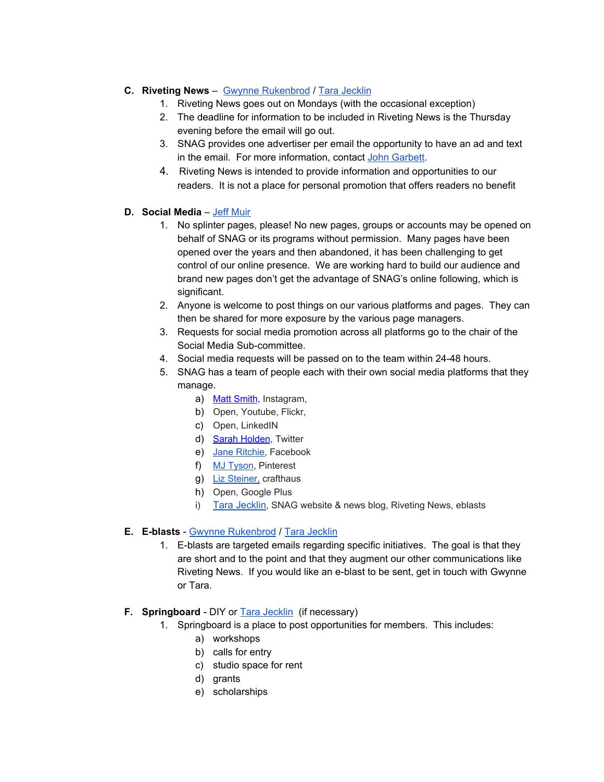## **C. Riveting News** – Gwynne [Rukenbrod](mailto:grsmith@snagmetalsmith.org) / Tara [Jecklin](mailto:tjecklin@snagmetalsmith.org)

- 1. Riveting News goes out on Mondays (with the occasional exception)
- 2. The deadline for information to be included in Riveting News is the Thursday evening before the email will go out.
- 3. SNAG provides one advertiser per email the opportunity to have an ad and text in the email. For more information, contact John [Garbett](mailto:jgarbett@snagmetalsmith.org).
- 4. Riveting News is intended to provide information and opportunities to our readers. It is not a place for personal promotion that offers readers no benefit

#### **D. Social Media** – Jeff [Muir](mailto:jmuir@snagmetalsmith.org)

- 1. No splinter pages, please! No new pages, groups or accounts may be opened on behalf of SNAG or its programs without permission. Many pages have been opened over the years and then abandoned, it has been challenging to get control of our online presence. We are working hard to build our audience and brand new pages don't get the advantage of SNAG's online following, which is significant.
- 2. Anyone is welcome to post things on our various platforms and pages. They can then be shared for more exposure by the various page managers.
- 3. Requests for social media promotion across all platforms go to the chair of the Social Media Sub-committee.
- 4. Social media requests will be passed on to the team within 24-48 hours.
- 5. SNAG has a team of people each with their own social media platforms that they manage.
	- a) Matt [Smith](mailto:matt@matthewsmithstudios.com), Instagram,
	- b) Open, Youtube, Flickr,
	- c) Open, LinkedIN
	- d) Sarah [Holden](mailto:holdensarahc@gmail.com), Twitter
	- e) Jane [Ritchie](mailto:janemarieritchie@gmail.com), Facebook
	- f) MJ [Tyson](mailto:mj.tyson.studio@gmail.com), Pinterest
	- g) Liz [Steiner,](mailto:lrsteiner7@gmail.com) crafthaus
	- h) Open, Google Plus
	- i) Tara [Jecklin](mailto:tjecklin@snagmetalsmith.org), SNAG website & news blog, Riveting News, eblasts

#### **E. E-blasts** - Gwynne [Rukenbrod](mailto:grsmith@snagmetalsmith.org) / Tara [Jecklin](mailto:tjecklin@snagmetalsmith.org)

1. E-blasts are targeted emails regarding specific initiatives. The goal is that they are short and to the point and that they augment our other communications like Riveting News. If you would like an e-blast to be sent, get in touch with Gwynne or Tara.

#### **F. Springboard** - DIY or Tara [Jecklin](mailto:tjecklin@snagmetalsmith.org) (if necessary)

- 1. Springboard is a place to post opportunities for members. This includes:
	- a) workshops
	- b) calls for entry
	- c) studio space for rent
	- d) grants
	- e) scholarships